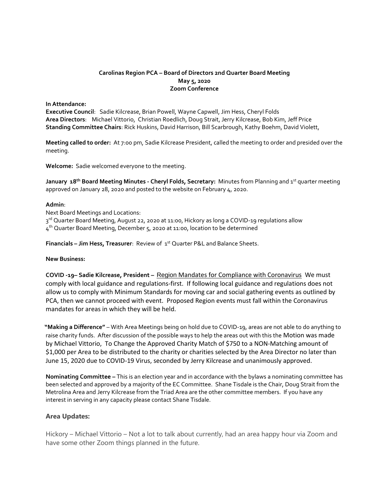## **Carolinas Region PCA – Board of Directors 2nd Quarter Board Meeting May 5, 2020 Zoom Conference**

#### **In Attendance:**

**Executive Council**: Sadie Kilcrease, Brian Powell, Wayne Capwell, Jim Hess, Cheryl Folds **Area Directors**: Michael Vittorio, Christian Roedlich, Doug Strait, Jerry Kilcrease, Bob Kim, Jeff Price **Standing Committee Chairs**: Rick Huskins, David Harrison, Bill Scarbrough, Kathy Boehm, David Violett,

**Meeting called to order:** At 7:00 pm, Sadie Kilcrease President, called the meeting to order and presided over the meeting.

**Welcome:** Sadie welcomed everyone to the meeting.

January 18<sup>th</sup> Board Meeting Minutes - Cheryl Folds, Secretary: Minutes from Planning and 1st quarter meeting approved on January 28, 2020 and posted to the website on February 4, 2020.

#### **Admin**:

Next Board Meetings and Locations:

3<sup>rd</sup> Quarter Board Meeting, August 22, 2020 at 11:00, Hickory as long a COVID-19 regulations allow

4 th Quarter Board Meeting, December 5, 2020 at 11:00, location to be determined

**Financials – Jim Hess, Treasurer**: Review of 1<sup>st</sup> Quarter P&L and Balance Sheets.

## **New Business:**

**COVID -19– Sadie Kilcrease, President –** Region Mandates for Compliance with Coronavirus We must comply with local guidance and regulations-first. If following local guidance and regulations does not allow us to comply with Minimum Standards for moving car and social gathering events as outlined by PCA, then we cannot proceed with event. Proposed Region events must fall within the Coronavirus mandates for areas in which they will be held.

 **"Making a Difference"** – With Area Meetings being on hold due to COVID-19, areas are not able to do anything to raise charity funds. After discussion of the possible ways to help the areas out with this the Motion was made by Michael Vittorio, To Change the Approved Charity Match of \$750 to a NON-Matching amount of \$1,000 per Area to be distributed to the charity or charities selected by the Area Director no later than June 15, 2020 due to COVID-19 Virus, seconded by Jerry Kilcrease and unanimously approved.

**Nominating Committee –** This is an election year and in accordance with the bylaws a nominating committee has been selected and approved by a majority of the EC Committee. Shane Tisdale is the Chair, Doug Strait from the Metrolina Area and Jerry Kilcrease from the Triad Area are the other committee members. If you have any interest in serving in any capacity please contact Shane Tisdale.

## **Area Updates:**

Hickory – Michael Vittorio – Not a lot to talk about currently, had an area happy hour via Zoom and have some other Zoom things planned in the future.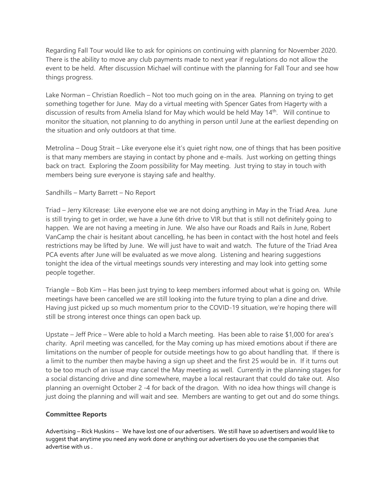Regarding Fall Tour would like to ask for opinions on continuing with planning for November 2020. There is the ability to move any club payments made to next year if regulations do not allow the event to be held. After discussion Michael will continue with the planning for Fall Tour and see how things progress.

Lake Norman – Christian Roedlich – Not too much going on in the area. Planning on trying to get something together for June. May do a virtual meeting with Spencer Gates from Hagerty with a discussion of results from Amelia Island for May which would be held May 14th. Will continue to monitor the situation, not planning to do anything in person until June at the earliest depending on the situation and only outdoors at that time.

Metrolina – Doug Strait – Like everyone else it's quiet right now, one of things that has been positive is that many members are staying in contact by phone and e-mails. Just working on getting things back on tract. Exploring the Zoom possibility for May meeting. Just trying to stay in touch with members being sure everyone is staying safe and healthy.

# Sandhills – Marty Barrett – No Report

Triad – Jerry Kilcrease: Like everyone else we are not doing anything in May in the Triad Area. June is still trying to get in order, we have a June 6th drive to VIR but that is still not definitely going to happen. We are not having a meeting in June. We also have our Roads and Rails in June, Robert VanCamp the chair is hesitant about cancelling, he has been in contact with the host hotel and feels restrictions may be lifted by June. We will just have to wait and watch. The future of the Triad Area PCA events after June will be evaluated as we move along. Listening and hearing suggestions tonight the idea of the virtual meetings sounds very interesting and may look into getting some people together.

Triangle – Bob Kim – Has been just trying to keep members informed about what is going on. While meetings have been cancelled we are still looking into the future trying to plan a dine and drive. Having just picked up so much momentum prior to the COVID-19 situation, we're hoping there will still be strong interest once things can open back up.

Upstate – Jeff Price – Were able to hold a March meeting. Has been able to raise \$1,000 for area's charity. April meeting was cancelled, for the May coming up has mixed emotions about if there are limitations on the number of people for outside meetings how to go about handling that. If there is a limit to the number then maybe having a sign up sheet and the first 25 would be in. If it turns out to be too much of an issue may cancel the May meeting as well. Currently in the planning stages for a social distancing drive and dine somewhere, maybe a local restaurant that could do take out. Also planning an overnight October 2 -4 for back of the dragon. With no idea how things will change is just doing the planning and will wait and see. Members are wanting to get out and do some things.

## **Committee Reports**

Advertising – Rick Huskins – We have lost one of our advertisers. We still have 10 advertisers and would like to suggest that anytime you need any work done or anything our advertisers do you use the companies that advertise with us .